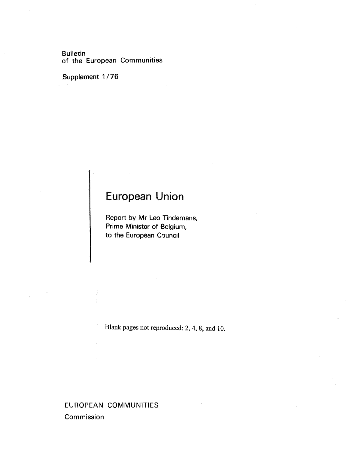Bulletin of the European Communities

Supplement 1/76

# European Union

Report by Mr Leo Tindemans, Prime Minister of Belgium, to the European Council

Blank pages not reproduced: 2, 4, 8, and 10.

### EUROPEAN COMMUNITIES Commission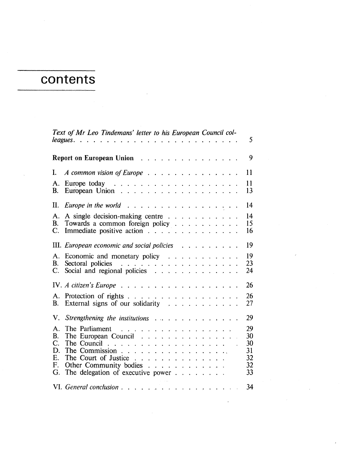# contents

| Text of Mr Leo Tindemans' letter to his European Council col- |                                                                                                                                                                                                                                                                                                                                                                                                                                                                           |                                        |  |
|---------------------------------------------------------------|---------------------------------------------------------------------------------------------------------------------------------------------------------------------------------------------------------------------------------------------------------------------------------------------------------------------------------------------------------------------------------------------------------------------------------------------------------------------------|----------------------------------------|--|
|                                                               |                                                                                                                                                                                                                                                                                                                                                                                                                                                                           | 5                                      |  |
| Report on European Union                                      |                                                                                                                                                                                                                                                                                                                                                                                                                                                                           |                                        |  |
| I.                                                            | A common vision of Europe $\ldots$ , , ,                                                                                                                                                                                                                                                                                                                                                                                                                                  | 11                                     |  |
| A.<br>B.                                                      | European Union                                                                                                                                                                                                                                                                                                                                                                                                                                                            | 11<br>13                               |  |
| П.                                                            | <i>Europe in the world</i>                                                                                                                                                                                                                                                                                                                                                                                                                                                | 14                                     |  |
| À.<br><b>B.</b><br>$\mathbf{C}$ .                             | A single decision-making centre<br>Towards a common foreign policy<br>Immediate positive action                                                                                                                                                                                                                                                                                                                                                                           | 14<br>15<br>16                         |  |
|                                                               | III. European economic and social policies                                                                                                                                                                                                                                                                                                                                                                                                                                | 19                                     |  |
| A.<br><b>B.</b><br>$\mathbf{C}$ .                             | Economic and monetary policy<br>Sectoral policies<br>Social and regional policies<br>Social and regional policies                                                                                                                                                                                                                                                                                                                                                         | 19<br>23<br>24                         |  |
|                                                               | IV. A citizen's Europe $\cdots$ $\cdots$ $\cdots$ $\cdots$ $\cdots$ $\cdots$ $\cdots$ $\cdots$                                                                                                                                                                                                                                                                                                                                                                            | 26                                     |  |
|                                                               |                                                                                                                                                                                                                                                                                                                                                                                                                                                                           | 26<br>27                               |  |
| $V_{\cdot}$                                                   | Strengthening the institutions                                                                                                                                                                                                                                                                                                                                                                                                                                            | 29                                     |  |
| A.<br>Β.<br>$\mathsf{C}$ .<br>D.<br>E.<br>F.<br>G.            | The Parliament $\cdots$ $\cdots$ $\cdots$ $\cdots$ $\cdots$ $\cdots$<br>The European Council and a subset of the European Council and a subset of the European Council<br>The Council $\ldots$ $\ldots$ $\ldots$ $\ldots$ $\ldots$ $\ldots$ $\ldots$<br>The Commission $\ldots$ $\ldots$ $\ldots$ $\ldots$ $\ldots$ $\ldots$ $\ldots$<br>The Court of Justice $\ldots$ $\ldots$ $\ldots$ $\ldots$ $\ldots$<br>Other Community bodies<br>The delegation of executive power | 29<br>30<br>30<br>31<br>32<br>32<br>33 |  |
|                                                               |                                                                                                                                                                                                                                                                                                                                                                                                                                                                           | 34                                     |  |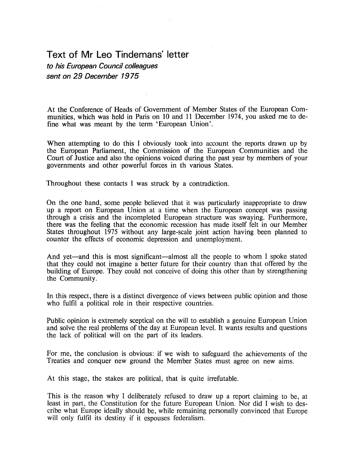### Text of Mr Leo Tindemans' letter

to his European Council colleagues sent on 29 December 1975

At the Conference of Heads of Government of Member States of the European Communities, which was held in Paris on 10 and 11 December 1974, you asked me to define what was meant by the term 'European Union'.

When attempting to do this I obviously took into account the reports drawn up by the European Parliament, the Commission of the European Communities and the Court of Justice and also the opinions voiced during the past year by members of your governments and other powerful forces in th various States.

Throughout these contacts I was struck by a contradiction.

On the one hand, some people believed that it was particularly inappropriate to draw up a report on European Union at a time when the European concept was passing through a crisis and the incompleted European structure was swaying. Furthermore there was the feeling that the economic recession has made itself felt in our Member States throughout 1975 without any large-scale joint action having been planned to counter the effects of economic depression and unemployment.

And yet—and this is most significant—almost all the people to whom I spoke stated that they could not imagine a better future for their country than that offered by the building of Europe. They could not conceive of doing this other than by strengthening the Community.

In this respect , there is a distinct divergence of views between public opinion and those who fulfil a political role in their respective countries.

Public opinion is extremely sceptical on the will to establish a genuine European Union and solve the real problems of the day at European level. It wants results and questions the lack of political will on the part of its leaders.

For me, the conclusion is obvious: if we wish to safeguard the achievements of the Treaties and conquer new ground the Member States must agree on new aims.

At this stage, the stakes are political, that is quite irrefutable.

This is the reason why I deliberately refused to draw up a report claiming to be, at least in part, the Constitution for the future European Union. Nor did I wish to describe what Europe ideally should be, while remaining personally convinced that Europe will only fulfil its destiny if it espouses federalism.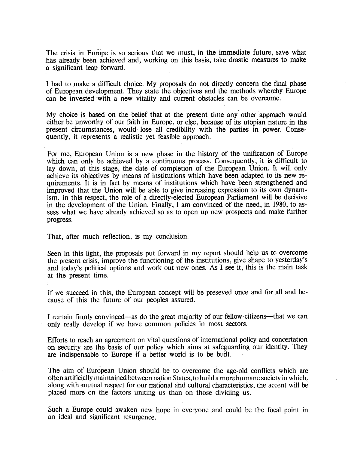The crisis in Europe is so serious that we must, in the immediate future, save what has already been achieved and, working on this basis, take drastic measures to make a significant leap forward.

I had to make a difficult choice. My proposals do not directly concern the final phase of European development. They state the objectives and the methods whereby Europe can be invested with a new vitality and current obstacles can be overcome.

My choice is based on the belief that at the present time any other approach would either be unworthy of our faith in Europe, or else, because of its utopian nature in the present circumstances, would 10se all credibility with the parties in power. Consequently, it represents a realistic yet feasible approach.

For me, European Union is a new phase in the history of the unification of Europe which can only be achieved by a continuous process. Consequently, it is difficult to lay down, at this stage, the date of completion of the European Union. It will only . achieve its objectives by means of institutions which have been adapted to its new requirements. It is in fact by means of institutions which have been strengthened and improved that the Union will be able to give increasing expression to its own dynamism. In this respect, the role of a directly-elected European Parliament will be decisive in the development of the Union. Finally, I am convinced of the need, in 1980, to assess what we have already achieved so as to open up new prospects and make further progress.

That, after much reflection, is my conclusion.

Seen in this light, the proposals put forward in my report should help us to overcome the present crisis, improve the functioning of the institutions, give shape to yesterday and today's political options and work out new ones. As I see it, this is the main task at the present time.

If we succeed in this, the European concept will be preseved once and for all and because of this the future of our peoples assured.

I remain firmly convinced—as do the great majority of our fellow-citizens—that we can only really develop if we have common policies in most sectors.

Efforts to reach an agreement on vital questions of international policy and concertation on security are the basis of our policy which aims at safeguarding our identity. They are indispensable to Europe if a better world is to be bui'lt.

The aim of European Union should be to overcome the age-old conflicts which are often artificially maintained between nation States, to build a more humane society in which, along with mutual respect for our national and cultural characteristics, the accent will be placed more on the factors uniting us than on those dividing us.

Such a Europe could awaken new hope in everyone and could be the focal point in an ideal and significant resurgence.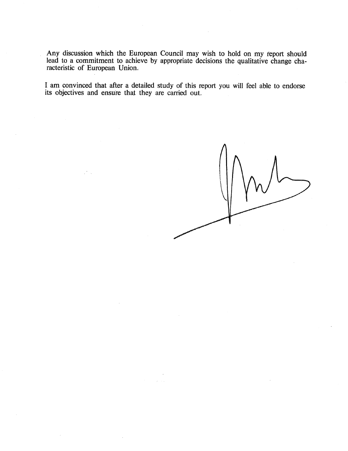Any discussion which the European Council may wish to hold on my report should lead to a commitment to achieve by appropriate decisions the qualitative change characteristic of European Union.

I am convinced that after a detailed study of this report you will feel able to endorse its objectives and ensure that they are carried out.

 $\mathcal{L}^{\text{max}}$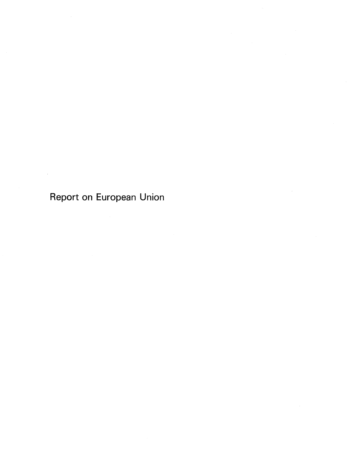Report on European Union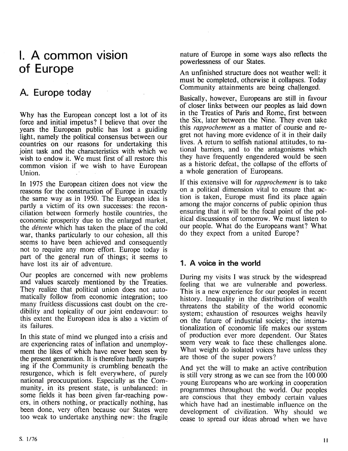# I. A common vision of Europe

# A. Europe today

Why has the European concept lost a lot of its force and initial impetus? I believe that over the years the European public has lost a guiding light, namely the political consensus between our countries on our reasons for undertaking this joint task and the characteristics with which we wish to endow it. We must first of all restore this common vision if we wish to have European Union.

In 1975 the European citizen does not view the reasons for the construction of Europe in exactly the same way as in 1950. The European idea is partly a victim of its own successes: the reconciliation between formerly hostile countries, the economic prosperity due to the enlarged market the *détente* which has taken the place of the cold war, thanks particularly to our cohesion, all this seems to have been achieved and consequently not to require any more effort. Europe today is part of the general run of things; it seems to have lost its air of adventure.

Our peoples are concerned with new problems and values scarcely mentioned by the Treaties. They realize that political union does not automatically follow from economic integration; too many fruitless discussions cast doubt on the credibility and topicality of our joint endeavour: to this extent the European idea is also a victim of its failures.

In this state of mind we plunged into a crisis and are experiencing rates of inflation and unemployment the likes of which have never been seen by the present generation. It is therefore hardly surpris- ing if the Community is crumbling beneath the resurgence, which is felt everywhere, of purely national preocuupations. Especially as the Com- munity, in its present state, is unbalanced: in some fields it has been given far-reaching powers, in others nothing, or practically nothing, has been done, very often because our States were too weak to undertake anything new: the fragile nature of Europe in some 'ways also reflects the powerlessness of our States.

An unfinished structure does not weather well: it must be completed, otherwise it collapses. Today Community attainments are being challenged.

Basically, however, Europeans are still in favour of closer links between our peoples as laid down in the Treaties of Paris and Rome, first between the Six, later between the Nine. They even take this rapprochement as a matter of course and regret not having more evidence of it in their daily lives. A return to selfish national attitudes, to national barriers, and to the antagonisms which they have frequently engendered would be seen as a historic defeat, the collapse of the efforts of a whole generation of Europeans.

If this extensive will for *rapprochement* is to take on a political dimension vital to ensure that action is taken, Europe must find its place again among the major concerns of public opinion thus ensuring that it will be the focal point of the political discussions of tomorrow. We must listen our people. What do the Europeans want? What do they expect from a united Europe?

#### 1. A voice in the world

During my visits I was struck by the widespread feeling that we are vulnerable and powerless. This is a new experience for our peoples in recent history. Inequality in the distribution of wealth threatens the stability of the world economic<br>system; exhaustion of resources weighs heavily on the future of industrial society; the internationalization of economic life makes our system of production ever more dependent. Our States seem very weak to face these challenges alone. What weight do isolated voices have unless they are those of the super powers?

And yet the will to make an active contribution is still very strong as we can see from the 100 000 young Europeans who are working in cooperation programmes throughout the world. Our peoples are conscious that they embody certain values which have had an inestimable influence on the development of civilization. Why should we cease to spread our ideas abroad when we have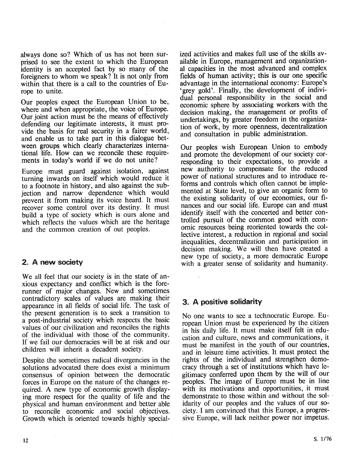always done so? Which of us has not been surprised to see the extent to which the European identity is an accepted fact by so many of the foreigners to whom we speak? It is not only from within that there is a call to the countries of Europe to unite.

Our peoples expect the European Union to be, where and when appropriate, the voice of Europe. Our joint action must be the means of effectively defending our legitimate interests, it must provide the basis for real security in a fairer world, and enable us to take part in this dialogue bet-<br>ween groups which clearly characterizes international life. How can we reconcile these requirements in today's world if we do not unite?

Europe must guard against isolation, against turning inwards on itself which would reduce it jection and narrow dependence which would<br>prevent it from making its voice heard. It must recover some control over its destiny. It must build a type of society which is ours alone and which reflects the values which are the heritage and the common creation of out peoples.

#### 2. A new society

We all feel that our society is in the state of anxious expectancy and conflict which is the forerunner of major changes. New and sometimes contradictory scales of values are making their appearance in all fields of social life. The task of the present generation is to seek a transition a post-industrial society which respects the basic values of our civilization and reconciles the rights of the individual with those of the community. If we fail our democracies will be at risk and our children will inherit a decadent society.

Despite the sometimes radical divergencies in the solutions advocated there does exist a minimum consensus of opinion between the democratic forces in Europe on the nature of the changes required. A new type of economic growth displaying more respect for the quality of life and the to reconcile economic and social objectives. Growth which is oriented towards highly specialized activities' and makes full use of the skills av ailable in Europe, management and organization al capacities in the most advanced and complex fields of human activity; this is our one specific advantage in the international economy: Europe's 'grey gold'. Finally, the development of individual personal responsibility in the social and economic sphere by associating workers with the decision making, the management or profits of undertakings,. by greater freedom in the organiza tion of work, by more openness, decentralization and consultation in public administration.

Our peoples wish European Union to embody and promote the development of our society cor responding to their expectations, to provide new authority to compensate for the reduced power of national structures and to introduce re forms and controls which often cannot be imple mented at State level, to give an organic form to the existing solidarity of our economies, our fi nances and our social life. Europe can and must identify itself with the concerted and better con trolled pursuit of the common good with econ omic resources being reoriented towards the col lective interest, a reduction in regional and social inequalities, decentralization and participation in new type of society, a more democratic Europe with a greater sense of solidarity and humanity.

#### 3. A positive solidarity

No one wants to see a technocratic Europe. Eu ropean Union must be experienced by the citizen in his daily life. It must make itself felt in edu cation and culture, news and communications, it must be manifest in the youth of our countries, and in leisure time activities. It must protect the rights of the individual and strengthen demo cracy through a set of institutions which have le gitimacy conferred upon them by the will of our peoples. The image of Europe must be in line with its motivations and opportunities, it must demonstrate to those within and without the sol idarity of our peoples and the values of our so ciety. I am convinced that this Europe, a progres sive Europe, will lack neither power nor impetus.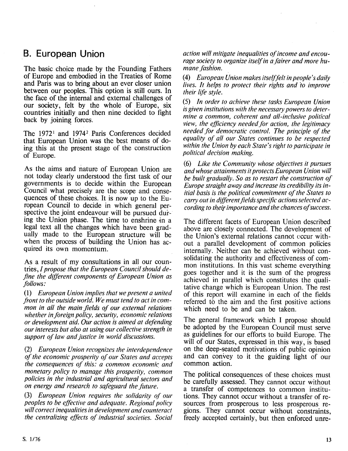# B. European Union

The basic choice made by the Founding Fathers of Europe and embodied in the Treaties of Rome and Paris was to bring about an ever closer union between our peoples. This option is still ours. In the face of the internal and external challenges of our society, felt by the whole of Europe, six countries initially and then nine decided to fight back by joining forces.

The 19721 and 19742 Paris Conferences decided that European Union was the best means of doing this at the present stage of the construction of Europe.

As the aims and 'nature of European Union are not today clearly understood the first task of our governments is to decide within the European Council what precisely are the scope and consequences of these choices. It is now up to the European Council to decide in which general per ing the Union phase. The time to enshrine in a<br>legal text all the changes which have been grad-<br>ually made to the European structure will be<br>when the process of building the Union has acquired its own momentum.

As a result of my consultations in all our countries I propose that the European Council should define the different components of European Union as follows:

(1) European Union implies that we present a united front to the outside world. We must tend to act in common in all the main-fields of our external relations whether in foreign policy, security, economic relations or development aid. Our action is aimed at defending our interests but also at using our collective strength in support of law and justice in world discussions.

(2) European Union recognizes the interdependence of the economic prosperity of our States and accepts the consequences of this: a common economic and monetary policy to manage this prosperity, common policies in the industrial and agricultural sectors and on energy and research to safeguard the future.

 $(3)$  European Union requires the solidarity of our peoples to be effective and adequate. Regional policy will correct inequalities in development and counteract the centralizing effects of industrial societies. Social action will mitigate inequalities of income and encourage society to organize itself in a fairer and more humane fashion.

 $(4)$  European Union makes itself felt in people's daily lives. It helps to protect their rights and to improve their life style.

(5) In order to achieve these tasks European Union is given institutions with the necessary powers to determine a common, coherent and all- inclusive political view, the efficiency needed for action, the legitimacy needed for democratic control. The principle of the equality of all our States continues to be respected within the Union by each State's right to participate in political decision making.

(6) Like the Community whose objectives it pursues and whose attainments it protects European Union will be built gradually. So as to restart the construction of Europe straight away and increase its credibility its initial basis is the political commitment of the States to carry out in different fields specific actions selected according to their importance and the chances of success.

The different facets of European Union described above are closely connected. The development of the Union's external relations cannot occur without a parallel development of common policies internally. Neither can be achieved without consolidating the authority and effectiveness of common institutions. In this vast scheme everything goes together and it is the sum of the progress achieved in parallel which constitutes the qualitative change which is European Union. The rest of this report will examine in each of the fields referred to the aim and the first positive actions which need to be and can be taken.

The general framework which I propose should be adopted by the European Council must serve as guidelines for our efforts to build Europe. The will of our States, expressed in. this way, is based and can convey to it the guiding light of our common action.

The political consequences of these choices must be carefully assessed. They cannot occur without a transfer of competences to common institutions. They cannot occur without a transfer of resources from prosperous to less prosperous re gions. They cannot occur without constraints freely accepted certainly, but then enforced unre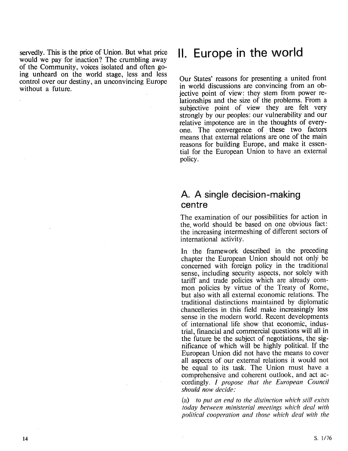servedly. This is the price of Union. But what price would we pay for inaction? The crumbling away of the Community, voices isolated and often going unheard on the world stage, less and less control over our destiny, an unconvincing Europe without a future.

# II. Europe in the world

Our States' reasons for presenting a united front in world discussions are convincing from an objective point of view: they stem from power relationships and the size of the problems. From a subjective point of view they are felt very strongly by our peoples: our vulnerability and our relative impotence are in the thoughts of everyone. The convergence of these two factors means that external relations are one of the main reasons for building Europe, and make it essential for the European Union to have an external policy.

### A. A single decision-making centre

The examination of our possibilities for action in the. world should be based on one obvious fact: the increasing intermeshing of different sectors of international activity.

In the framework described in the preceding chapter the European Union should not only be concerned with foreign policy in the traditional sense, including security aspects, nor solely with tariff and trade policies which are already common policies by virtue of the Treaty of Rome, but also with all external economic relations. The traditional distinctions maintained by diplomatic chancelleries in this field make increasingly less sense in the modern world. Recent developments of international life show that economic, industrial, financial and commercial questions will all in the future be the subject of negotiations, the significance of which will be highly political. If the European Union did not have the means to cover all aspects of our external relations it would not be equal to its task. The Union must have a comprehensive and coherent outlook, and act accordingly. I propose that the European Council should now decide:

(a) to put an end to the distinction which still exists today between ministerial meetings which deal with political cooperation and those which deal with the